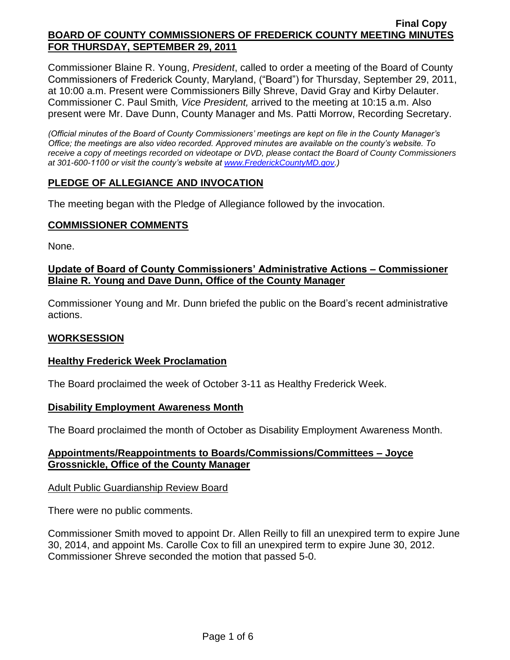Commissioner Blaine R. Young, *President*, called to order a meeting of the Board of County Commissioners of Frederick County, Maryland, ("Board") for Thursday, September 29, 2011, at 10:00 a.m. Present were Commissioners Billy Shreve, David Gray and Kirby Delauter. Commissioner C. Paul Smith*, Vice President,* arrived to the meeting at 10:15 a.m. Also present were Mr. Dave Dunn, County Manager and Ms. Patti Morrow, Recording Secretary.

*(Official minutes of the Board of County Commissioners' meetings are kept on file in the County Manager's Office; the meetings are also video recorded. Approved minutes are available on the county's website. To receive a copy of meetings recorded on videotape or DVD, please contact the Board of County Commissioners at 301-600-1100 or visit the county's website at [www.FrederickCountyMD.gov.](http://www.frederickcountymd.gov/))*

## **PLEDGE OF ALLEGIANCE AND INVOCATION**

The meeting began with the Pledge of Allegiance followed by the invocation.

#### **COMMISSIONER COMMENTS**

None.

## **Update of Board of County Commissioners' Administrative Actions – Commissioner Blaine R. Young and Dave Dunn, Office of the County Manager**

Commissioner Young and Mr. Dunn briefed the public on the Board's recent administrative actions.

## **WORKSESSION**

## **Healthy Frederick Week Proclamation**

The Board proclaimed the week of October 3-11 as Healthy Frederick Week.

#### **Disability Employment Awareness Month**

The Board proclaimed the month of October as Disability Employment Awareness Month.

## **Appointments/Reappointments to Boards/Commissions/Committees – Joyce Grossnickle, Office of the County Manager**

## Adult Public Guardianship Review Board

There were no public comments.

Commissioner Smith moved to appoint Dr. Allen Reilly to fill an unexpired term to expire June 30, 2014, and appoint Ms. Carolle Cox to fill an unexpired term to expire June 30, 2012. Commissioner Shreve seconded the motion that passed 5-0.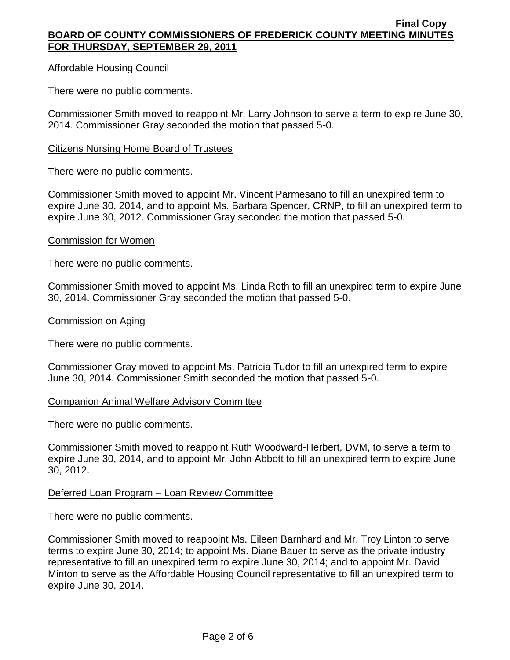#### Affordable Housing Council

There were no public comments.

Commissioner Smith moved to reappoint Mr. Larry Johnson to serve a term to expire June 30, 2014. Commissioner Gray seconded the motion that passed 5-0.

#### Citizens Nursing Home Board of Trustees

There were no public comments.

Commissioner Smith moved to appoint Mr. Vincent Parmesano to fill an unexpired term to expire June 30, 2014, and to appoint Ms. Barbara Spencer, CRNP, to fill an unexpired term to expire June 30, 2012. Commissioner Gray seconded the motion that passed 5-0.

#### Commission for Women

There were no public comments.

Commissioner Smith moved to appoint Ms. Linda Roth to fill an unexpired term to expire June 30, 2014. Commissioner Gray seconded the motion that passed 5-0.

#### Commission on Aging

There were no public comments.

Commissioner Gray moved to appoint Ms. Patricia Tudor to fill an unexpired term to expire June 30, 2014. Commissioner Smith seconded the motion that passed 5-0.

#### Companion Animal Welfare Advisory Committee

There were no public comments.

Commissioner Smith moved to reappoint Ruth Woodward-Herbert, DVM, to serve a term to expire June 30, 2014, and to appoint Mr. John Abbott to fill an unexpired term to expire June 30, 2012.

#### Deferred Loan Program – Loan Review Committee

There were no public comments.

Commissioner Smith moved to reappoint Ms. Eileen Barnhard and Mr. Troy Linton to serve terms to expire June 30, 2014; to appoint Ms. Diane Bauer to serve as the private industry representative to fill an unexpired term to expire June 30, 2014; and to appoint Mr. David Minton to serve as the Affordable Housing Council representative to fill an unexpired term to expire June 30, 2014.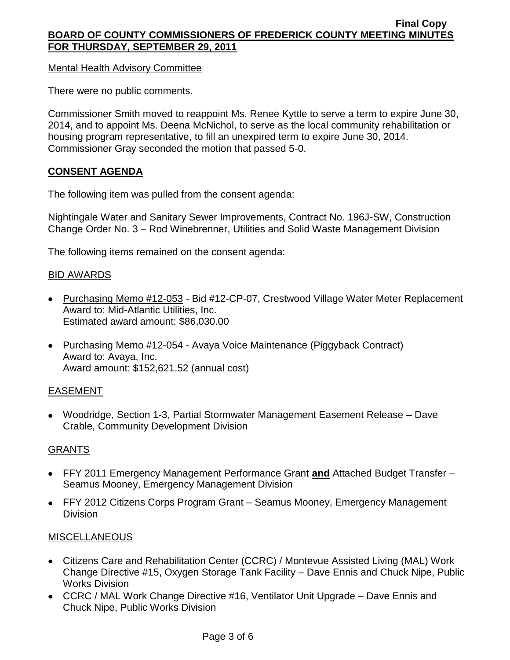Mental Health Advisory Committee

There were no public comments.

Commissioner Smith moved to reappoint Ms. Renee Kyttle to serve a term to expire June 30, 2014, and to appoint Ms. Deena McNichol, to serve as the local community rehabilitation or housing program representative, to fill an unexpired term to expire June 30, 2014. Commissioner Gray seconded the motion that passed 5-0.

## **CONSENT AGENDA**

The following item was pulled from the consent agenda:

Nightingale Water and Sanitary Sewer Improvements, Contract No. 196J-SW, Construction Change Order No. 3 – Rod Winebrenner, Utilities and Solid Waste Management Division

The following items remained on the consent agenda:

## BID AWARDS

- Purchasing Memo #12-053 Bid #12-CP-07, Crestwood Village Water Meter Replacement Award to: Mid-Atlantic Utilities, Inc. Estimated award amount: \$86,030.00
- Purchasing Memo #12-054 Avaya Voice Maintenance (Piggyback Contract) Award to: Avaya, Inc. Award amount: \$152,621.52 (annual cost)

## EASEMENT

Woodridge, Section 1-3, Partial Stormwater Management Easement Release – Dave Crable, Community Development Division

## GRANTS

- FFY 2011 Emergency Management Performance Grant **and** Attached Budget Transfer Seamus Mooney, Emergency Management Division
- FFY 2012 Citizens Corps Program Grant Seamus Mooney, Emergency Management Division

#### MISCELLANEOUS

- Citizens Care and Rehabilitation Center (CCRC) / Montevue Assisted Living (MAL) Work Change Directive #15, Oxygen Storage Tank Facility – Dave Ennis and Chuck Nipe, Public Works Division
- CCRC / MAL Work Change Directive #16, Ventilator Unit Upgrade Dave Ennis and Chuck Nipe, Public Works Division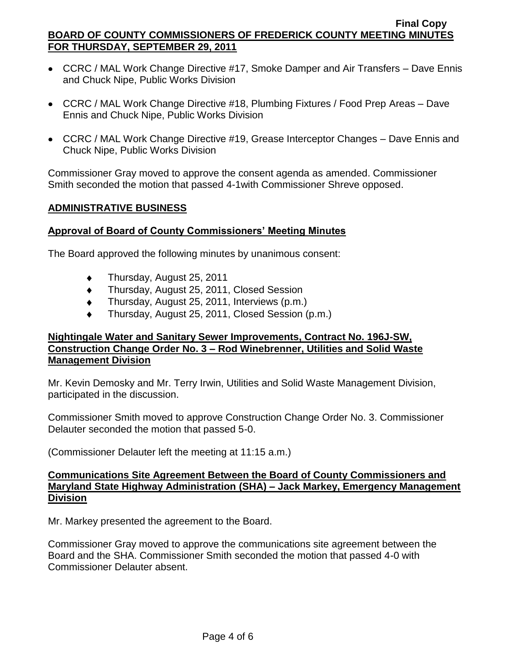- CCRC / MAL Work Change Directive #17, Smoke Damper and Air Transfers Dave Ennis and Chuck Nipe, Public Works Division
- CCRC / MAL Work Change Directive #18, Plumbing Fixtures / Food Prep Areas Dave Ennis and Chuck Nipe, Public Works Division
- CCRC / MAL Work Change Directive #19, Grease Interceptor Changes Dave Ennis and Chuck Nipe, Public Works Division

Commissioner Gray moved to approve the consent agenda as amended. Commissioner Smith seconded the motion that passed 4-1with Commissioner Shreve opposed.

## **ADMINISTRATIVE BUSINESS**

## **Approval of Board of County Commissioners' Meeting Minutes**

The Board approved the following minutes by unanimous consent:

- Thursday, August 25, 2011  $\bullet$
- Thursday, August 25, 2011, Closed Session  $\bullet$
- Thursday, August 25, 2011, Interviews (p.m.)  $\bullet$
- Thursday, August 25, 2011, Closed Session (p.m.)

## **Nightingale Water and Sanitary Sewer Improvements, Contract No. 196J-SW, Construction Change Order No. 3 – Rod Winebrenner, Utilities and Solid Waste Management Division**

Mr. Kevin Demosky and Mr. Terry Irwin, Utilities and Solid Waste Management Division, participated in the discussion.

Commissioner Smith moved to approve Construction Change Order No. 3. Commissioner Delauter seconded the motion that passed 5-0.

(Commissioner Delauter left the meeting at 11:15 a.m.)

#### **Communications Site Agreement Between the Board of County Commissioners and Maryland State Highway Administration (SHA) – Jack Markey, Emergency Management Division**

Mr. Markey presented the agreement to the Board.

Commissioner Gray moved to approve the communications site agreement between the Board and the SHA. Commissioner Smith seconded the motion that passed 4-0 with Commissioner Delauter absent.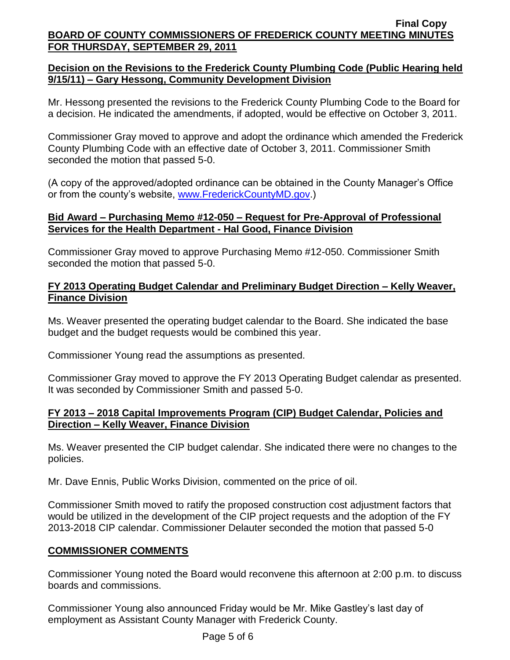# **Decision on the Revisions to the Frederick County Plumbing Code (Public Hearing held 9/15/11) – Gary Hessong, Community Development Division**

Mr. Hessong presented the revisions to the Frederick County Plumbing Code to the Board for a decision. He indicated the amendments, if adopted, would be effective on October 3, 2011.

Commissioner Gray moved to approve and adopt the ordinance which amended the Frederick County Plumbing Code with an effective date of October 3, 2011. Commissioner Smith seconded the motion that passed 5-0.

(A copy of the approved/adopted ordinance can be obtained in the County Manager's Office or from the county's website, [www.FrederickCountyMD.gov.](http://www.frederickcountymd.gov/))

## **Bid Award – Purchasing Memo #12-050 – Request for Pre-Approval of Professional Services for the Health Department - Hal Good, Finance Division**

Commissioner Gray moved to approve Purchasing Memo #12-050. Commissioner Smith seconded the motion that passed 5-0.

## **FY 2013 Operating Budget Calendar and Preliminary Budget Direction – Kelly Weaver, Finance Division**

Ms. Weaver presented the operating budget calendar to the Board. She indicated the base budget and the budget requests would be combined this year.

Commissioner Young read the assumptions as presented.

Commissioner Gray moved to approve the FY 2013 Operating Budget calendar as presented. It was seconded by Commissioner Smith and passed 5-0.

## **FY 2013 – 2018 Capital Improvements Program (CIP) Budget Calendar, Policies and Direction – Kelly Weaver, Finance Division**

Ms. Weaver presented the CIP budget calendar. She indicated there were no changes to the policies.

Mr. Dave Ennis, Public Works Division, commented on the price of oil.

Commissioner Smith moved to ratify the proposed construction cost adjustment factors that would be utilized in the development of the CIP project requests and the adoption of the FY 2013-2018 CIP calendar. Commissioner Delauter seconded the motion that passed 5-0

## **COMMISSIONER COMMENTS**

Commissioner Young noted the Board would reconvene this afternoon at 2:00 p.m. to discuss boards and commissions.

Commissioner Young also announced Friday would be Mr. Mike Gastley's last day of employment as Assistant County Manager with Frederick County.